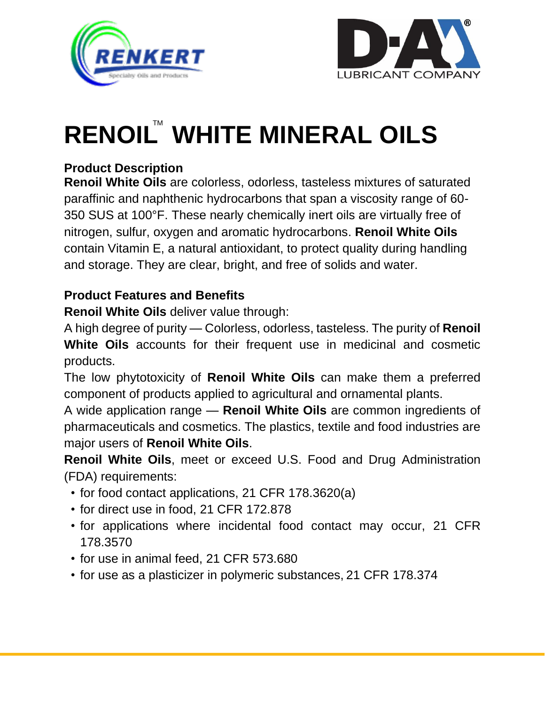



# **RENOIL™ WHITE MINERAL OILS**

# **Product Description**

**Renoil White Oils** are colorless, odorless, tasteless mixtures of saturated paraffinic and naphthenic hydrocarbons that span a viscosity range of 60- 350 SUS at 100°F. These nearly chemically inert oils are virtually free of nitrogen, sulfur, oxygen and aromatic hydrocarbons. **Renoil White Oils** contain Vitamin E, a natural antioxidant, to protect quality during handling and storage. They are clear, bright, and free of solids and water.

## **Product Features and Benefits**

**Renoil White Oils** deliver value through:

A high degree of purity — Colorless, odorless, tasteless. The purity of **Renoil White Oils** accounts for their frequent use in medicinal and cosmetic products.

The low phytotoxicity of **Renoil White Oils** can make them a preferred component of products applied to agricultural and ornamental plants.

A wide application range — **Renoil White Oils** are common ingredients of pharmaceuticals and cosmetics. The plastics, textile and food industries are major users of **Renoil White Oils**.

**Renoil White Oils**, meet or exceed U.S. Food and Drug Administration (FDA) requirements:

- for food contact applications, 21 CFR 178.3620(a)
- for direct use in food, 21 CFR 172.878
- for applications where incidental food contact may occur, 21 CFR 178.3570
- for use in animal feed, 21 CFR 573.680
- for use as a plasticizer in polymeric substances, 21 CFR 178.374